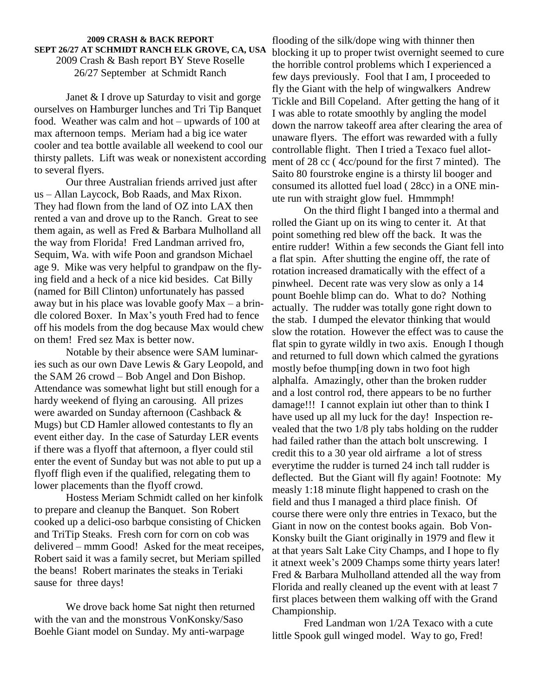## **2009 CRASH & BACK REPORT SEPT 26/27 AT SCHMIDT RANCH ELK GROVE, CA, USA** 2009 Crash & Bash report BY Steve Roselle 26/27 September at Schmidt Ranch

Janet & I drove up Saturday to visit and gorge ourselves on Hamburger lunches and Tri Tip Banquet  $\overline{I}_{N}$ Janet & I drove up Saturday to visit and gorge<br>ourselves on Hamburger lunches and Tri Tip Banquet<br>food. Weather was calm and hot – upwards of 100 at max afternoon temps. Meriam had a big ice water cooler and tea bottle available allweekend to cool our thirsty pallets. Lift was weak or nonexistent according to several flyers.

Our three Australian friends arrived just after us – Allan Laycock, Bob Raads, and Max Rixon. They had flown from the land of OZ into LAX then rented a van and drove up to the Ranch. Great to see them again, as well as Fred & Barbara Mulholland all the way from Florida! Fred Landman arrived fro, Sequim, Wa. with wife Poon and grandson Michael age 9. Mike was very helpful to grandpaw on the flying field and a heck of a nice kid besides. Cat Billy<br>
(named for Bill Clinton) unfortunately has passed<br>
away but in his place was lovable goofy Max – a brin-(named for Bill Clinton) unfortunately has passed away but in his place was lovable goofy  $Max - a$  brin-<br>dle colored Boxer. In Max's youth Fred had to fence off his models from the dog because Max would chew on them! Fred sez Max is better now.

Notable by their absence were SAM luminaries such as our own Dave Lewis & Gary Leopold, and  $\frac{m}{\text{mod}1}$ Notable by their absence were SAM luminaries such as our own Dave Lewis & Gary Leopold, and the SAM 26 crowd – Bob Angel and Don Bishop. Attendance was somewhat light but still enough for a hardy weekend of flying an carousing. All prizes were awarded on Sunday afternoon (Cashback & Mugs) but CD Hamler allowed contestants to fly an event either day. In the case of Saturday LER events if there was a flyoff that afternoon, a flyer could stil enter the event of Sunday but was not able to put up a flyoff fligh even if the qualified, relegating them to lower placements than the flyoff crowd.

Hostess Meriam Schmidt called on her kinfolk to prepare and cleanup the Banquet. Son Robert cooked up a delici-oso barbque consisting of Chicken and TriTip Steaks. Fresh corn for corn on cob was delivered – mmm Good! Asked for the meat receipes, Robert said it was a family secret, but Meriam spilled it at the years but have enjoy enamply, and the pearly the beans! Robert marinates the steaks in Teriaki sause for three days!

We drove back home Sat night then returned with the van and the monstrous VonKonsky/Saso Boehle Giant model on Sunday. My anti-warpage

flooding of the silk/dope wing with thinner then blocking it up to proper twist overnight seemed to cure the horrible control problems which I experienced a few days previously. Fool that I am, I proceeded to fly the Giant with the help of wingwalkers Andrew Tickle and Bill Copeland. After getting the hang of it I was able to rotate smoothly by angling the model down the narrow takeoff area after clearing the area of unaware flyers. The effort was rewarded with a fully controllable flight. Then I tried a Texaco fuel allot ment of 28 cc ( 4cc/pound for the first 7 minted). The Saito 80 fourstroke engine is a thirsty lil booger and consumed its allotted fuel load ( 28cc) in a ONE min ute run with straight glow fuel. Hmmmph!

On the third flight I banged into a thermal and rolled the Giant up on its wing to center it. At that point something red blew off the back. It was the entire rudder! Within a few seconds the Giant fell into a flat spin. After shutting the engine off, the rate of rotation increased dramatically with the effect of a pinwheel. Decent rate was very slow as only a 14 pount Boehle blimp can do. What to do? Nothing actually. The rudder was totally gone right down to the stab. I dumped the elevator thinking that would slow the rotation. However the effect was to cause the flat spin to gyrate wildly in two axis. Enough I though and returned to full down which calmed the gyrations mostly befoe thump[ing down in two foot high alphalfa. Amazingly, other than the broken rudder and a lost control rod, there appears to be no further damage!!! I cannot explain iut other than to think I have used up all my luck for the day! Inspection re vealed that the two 1/8 ply tabs holding on the rudder had failed rather than the attach bolt unscrewing. I credit this to a 30 year old airframe a lot of stress everytime the rudder is turned 24 inch tall rudder is deflected. But the Giant will fly again! Footnote: My measly 1:18 minute flight happened to crash on the field and thus I managed a third place finish. Of course there were only thre entries in Texaco, but the Giant in now on the contest books again. Bob Von- Konsky built the Giant originally in 1979 and flew it at that years Salt Lake City Champs, and I hope to fly Konsky built the Giant originally in 1979 and flew it<br>at that years Salt Lake City Champs, and I hope to fly<br>it atnext week's 2009 Champs some thirty years later! Fred & Barbara Mulholland attended all the way from Florida and really cleaned up the event with at least 7 first places between them walking off with the Grand Championship.

Fred Landman won 1/2A Texaco with a cute little Spook gull winged model. Way to go, Fred!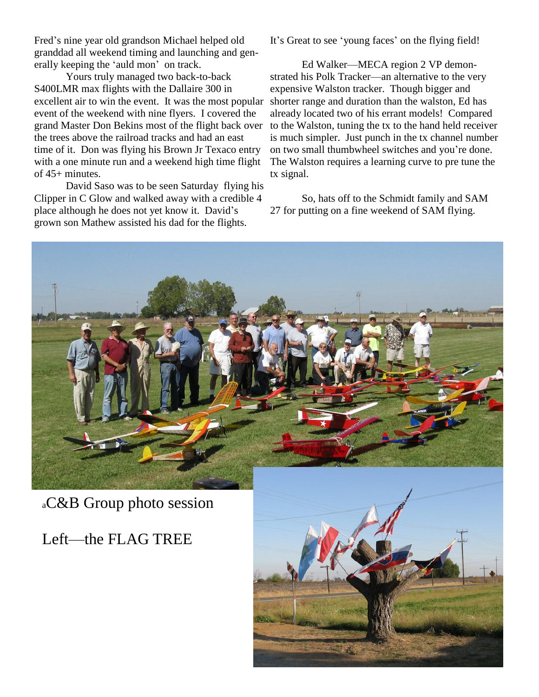Fred's nine year old grandson Michael helped old [16] granddad all weekend timing and launching and gen- Fred's nine year old grandson Michael helpe<br>granddad all weekend timing and launching<br>erally keeping the 'auld mon' on track.

Yours truly managed two back-to-back S400LMR max flights with the Dallaire 300 in excellent air to win the event. It was the most popular event of the weekend with nine flyers. I covered the grand Master Don Bekins most of the flight back over the trees above the railroad tracks and had an east time of it. Don was flying his Brown Jr Texaco entry on two small thumbwheel switches and you're done. with a one minute run and a weekend high time flight of 45+ minutes.

David Saso was to be seen Saturday flying his Clipper in C Glow and walked away with a credible 4 David Saso was to be seen Saturday flying his<br>Clipper in C Glow and walked away with a credible 4<br>place although he does not yet know it. David's grown son Mathew assisted his dad for the flights.

It's Great to see 'young faces' on the flying field!

Ed Walker—MECA region 2 VP demonstrated his Polk Tracker—an alternative to the very expensive Walston tracker. Though bigger and shorter range and duration than the walston, Ed has already located two of his errant models! Compared to the Walston, tuning the tx to the hand held receiver on two small thumbwheel switches and youíre done. is much simpler. Just punch in the tx channel number The Walston requires a learning curve to pre tune the tx signal.

So, hats off to the Schmidt family and SAM 27 for putting on a fine weekend of SAM flying.

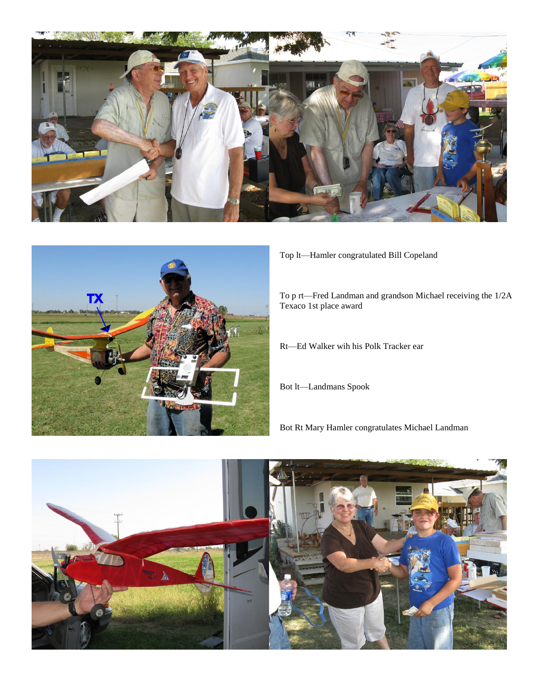



Top lt-Hamler congratulated Bill Copeland

To p rt—Fred Landman and grandson Michael receiving the 1/2A Texaco 1st place award

Rt-Ed Walker wih his Polk Tracker ear

Bot lt-Landmans Spook

Bot Rt Mary Hamler congratulates Michael Landman